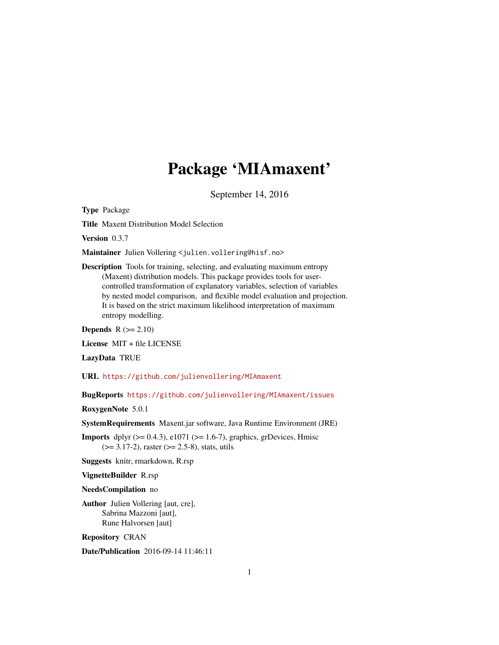# Package 'MIAmaxent'

September 14, 2016

Type Package

Title Maxent Distribution Model Selection

Version 0.3.7

Maintainer Julien Vollering <julien.vollering@hisf.no>

Description Tools for training, selecting, and evaluating maximum entropy (Maxent) distribution models. This package provides tools for usercontrolled transformation of explanatory variables, selection of variables by nested model comparison, and flexible model evaluation and projection. It is based on the strict maximum likelihood interpretation of maximum entropy modelling.

Depends  $R (= 2.10)$ 

License MIT + file LICENSE

LazyData TRUE

URL <https://github.com/julienvollering/MIAmaxent>

BugReports <https://github.com/julienvollering/MIAmaxent/issues>

RoxygenNote 5.0.1

SystemRequirements Maxent.jar software, Java Runtime Environment (JRE)

**Imports** dplyr  $(>= 0.4.3)$ , e1071  $(>= 1.6-7)$ , graphics, grDevices, Hmisc  $(>= 3.17-2)$ , raster  $(>= 2.5-8)$ , stats, utils

Suggests knitr, rmarkdown, R.rsp

VignetteBuilder R.rsp

NeedsCompilation no

Author Julien Vollering [aut, cre], Sabrina Mazzoni [aut], Rune Halvorsen [aut]

Repository CRAN

Date/Publication 2016-09-14 11:46:11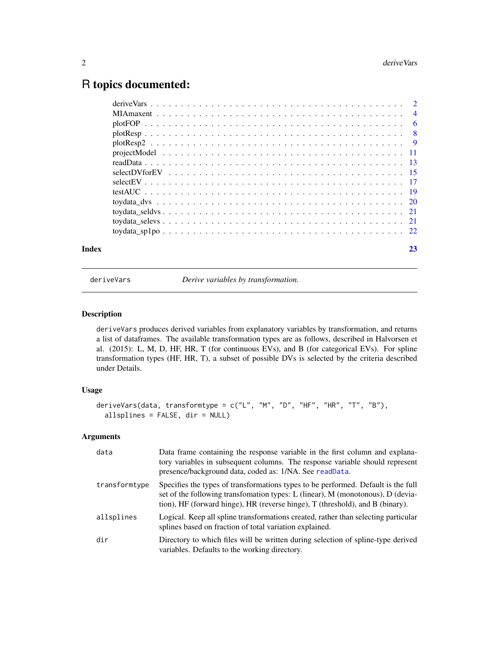# <span id="page-1-0"></span>R topics documented:

| Index | 23 |
|-------|----|
|       |    |
|       |    |
|       |    |
|       |    |
|       |    |
|       |    |
|       |    |
|       |    |
|       |    |
|       |    |
|       |    |
|       |    |
|       |    |
|       |    |

<span id="page-1-1"></span>

deriveVars *Derive variables by transformation.*

# Description

deriveVars produces derived variables from explanatory variables by transformation, and returns a list of dataframes. The available transformation types are as follows, described in Halvorsen et al. (2015): L, M, D, HF, HR, T (for continuous EVs), and B (for categorical EVs). For spline transformation types (HF, HR, T), a subset of possible DVs is selected by the criteria described under Details.

# Usage

```
deriveVars(data, transformtype = c("L", "M", "D", "HF", "HR", "T", "B"),
 allsplines = FALSE, dir = NULL)
```
# Arguments

| data          | Data frame containing the response variable in the first column and explana-<br>tory variables in subsequent columns. The response variable should represent<br>presence/background data, coded as: 1/NA. See readData.                               |
|---------------|-------------------------------------------------------------------------------------------------------------------------------------------------------------------------------------------------------------------------------------------------------|
| transformtype | Specifies the types of transformations types to be performed. Default is the full<br>set of the following transfomation types: L (linear), M (monotonous), D (devia-<br>tion), HF (forward hinge), HR (reverse hinge), T (threshold), and B (binary). |
| allsplines    | Logical. Keep all spline transformations created, rather than selecting particular<br>splines based on fraction of total variation explained.                                                                                                         |
| dir           | Directory to which files will be written during selection of spline-type derived<br>variables. Defaults to the working directory.                                                                                                                     |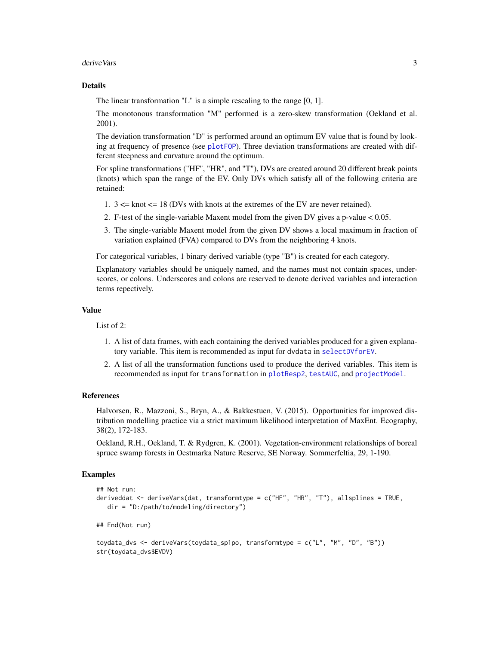#### <span id="page-2-0"></span>deriveVars 3

#### Details

The linear transformation "L" is a simple rescaling to the range [0, 1].

The monotonous transformation "M" performed is a zero-skew transformation (Oekland et al. 2001).

The deviation transformation "D" is performed around an optimum EV value that is found by looking at frequency of presence (see [plotFOP](#page-5-1)). Three deviation transformations are created with different steepness and curvature around the optimum.

For spline transformations ("HF", "HR", and "T"), DVs are created around 20 different break points (knots) which span the range of the EV. Only DVs which satisfy all of the following criteria are retained:

- 1. 3 <= knot <= 18 (DVs with knots at the extremes of the EV are never retained).
- 2. F-test of the single-variable Maxent model from the given DV gives a p-value < 0.05.
- 3. The single-variable Maxent model from the given DV shows a local maximum in fraction of variation explained (FVA) compared to DVs from the neighboring 4 knots.

For categorical variables, 1 binary derived variable (type "B") is created for each category.

Explanatory variables should be uniquely named, and the names must not contain spaces, underscores, or colons. Underscores and colons are reserved to denote derived variables and interaction terms repectively.

#### Value

List of 2:

- 1. A list of data frames, with each containing the derived variables produced for a given explanatory variable. This item is recommended as input for dvdata in [selectDVforEV](#page-14-1).
- 2. A list of all the transformation functions used to produce the derived variables. This item is recommended as input for transformation in [plotResp2](#page-8-1), [testAUC](#page-18-1), and [projectModel](#page-10-1).

#### References

Halvorsen, R., Mazzoni, S., Bryn, A., & Bakkestuen, V. (2015). Opportunities for improved distribution modelling practice via a strict maximum likelihood interpretation of MaxEnt. Ecography, 38(2), 172-183.

Oekland, R.H., Oekland, T. & Rydgren, K. (2001). Vegetation-environment relationships of boreal spruce swamp forests in Oestmarka Nature Reserve, SE Norway. Sommerfeltia, 29, 1-190.

#### Examples

str(toydata\_dvs\$EVDV)

```
## Not run:
deriveddat <- deriveVars(dat, transformtype = c("HF", "HR", "T"), allsplines = TRUE,
  dir = "D:/path/to/modeling/directory")
## End(Not run)
toydata_dvs <- deriveVars(toydata_sp1po, transformtype = c("L", "M", "D", "B"))
```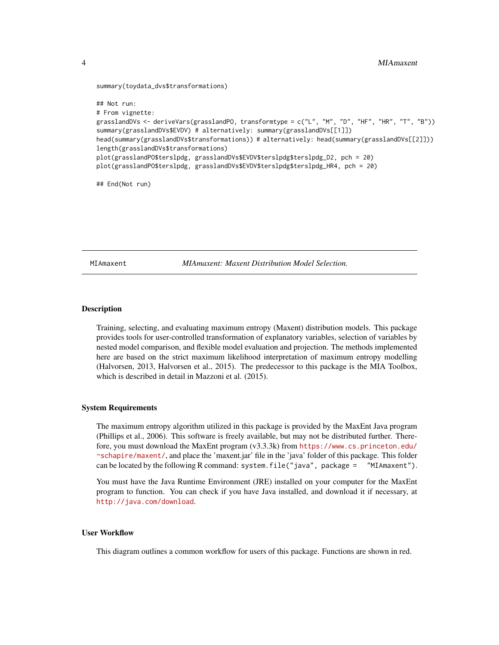```
summary(toydata_dvs$transformations)
```

```
## Not run:
# From vignette:
grasslandDVs <- deriveVars(grasslandPO, transformtype = c("L", "M", "D", "HF", "HR", "T", "B"))
summary(grasslandDVs$EVDV) # alternatively: summary(grasslandDVs[[1]])
head(summary(grasslandDVs$transformations)) # alternatively: head(summary(grasslandDVs[[2]]))
length(grasslandDVs$transformations)
plot(grasslandPO$terslpdg, grasslandDVs$EVDV$terslpdg$terslpdg_D2, pch = 20)
plot(grasslandPO$terslpdg, grasslandDVs$EVDV$terslpdg$terslpdg_HR4, pch = 20)
```
## End(Not run)

MIAmaxent *MIAmaxent: Maxent Distribution Model Selection.*

#### Description

Training, selecting, and evaluating maximum entropy (Maxent) distribution models. This package provides tools for user-controlled transformation of explanatory variables, selection of variables by nested model comparison, and flexible model evaluation and projection. The methods implemented here are based on the strict maximum likelihood interpretation of maximum entropy modelling (Halvorsen, 2013, Halvorsen et al., 2015). The predecessor to this package is the MIA Toolbox, which is described in detail in Mazzoni et al. (2015).

#### System Requirements

The maximum entropy algorithm utilized in this package is provided by the MaxEnt Java program (Phillips et al., 2006). This software is freely available, but may not be distributed further. Therefore, you must download the MaxEnt program (v3.3.3k) from [https://www.cs.princeton.edu/](https://www.cs.princeton.edu/~schapire/maxent/) [~schapire/maxent/](https://www.cs.princeton.edu/~schapire/maxent/), and place the 'maxent.jar' file in the 'java' folder of this package. This folder can be located by the following R command: system.file("java", package = "MIAmaxent").

You must have the Java Runtime Environment (JRE) installed on your computer for the MaxEnt program to function. You can check if you have Java installed, and download it if necessary, at <http://java.com/download>.

#### User Workflow

This diagram outlines a common workflow for users of this package. Functions are shown in red.

<span id="page-3-0"></span>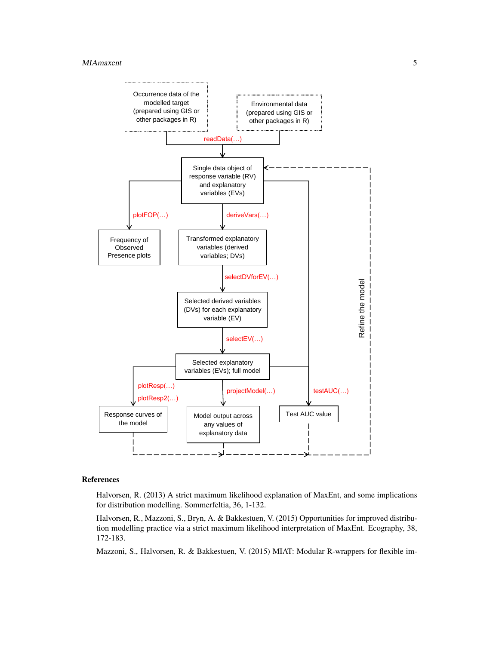

# References

Halvorsen, R. (2013) A strict maximum likelihood explanation of MaxEnt, and some implications for distribution modelling. Sommerfeltia, 36, 1-132.

Halvorsen, R., Mazzoni, S., Bryn, A. & Bakkestuen, V. (2015) Opportunities for improved distribution modelling practice via a strict maximum likelihood interpretation of MaxEnt. Ecography, 38, 172-183.

Mazzoni, S., Halvorsen, R. & Bakkestuen, V. (2015) MIAT: Modular R-wrappers for flexible im-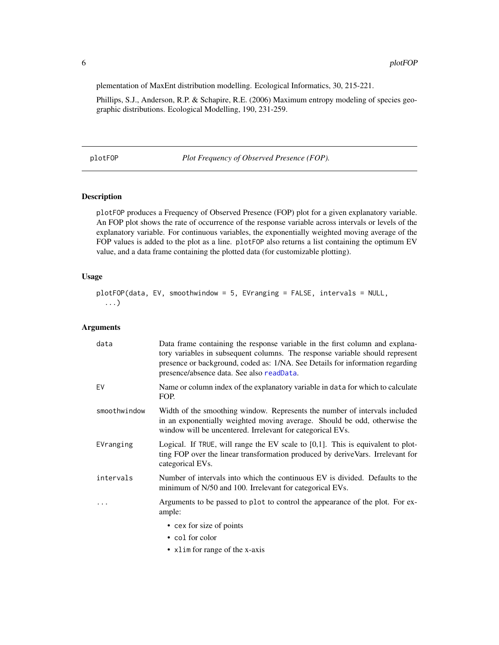plementation of MaxEnt distribution modelling. Ecological Informatics, 30, 215-221.

Phillips, S.J., Anderson, R.P. & Schapire, R.E. (2006) Maximum entropy modeling of species geographic distributions. Ecological Modelling, 190, 231-259.

<span id="page-5-1"></span>plotFOP *Plot Frequency of Observed Presence (FOP).*

# Description

plotFOP produces a Frequency of Observed Presence (FOP) plot for a given explanatory variable. An FOP plot shows the rate of occurrence of the response variable across intervals or levels of the explanatory variable. For continuous variables, the exponentially weighted moving average of the FOP values is added to the plot as a line. plotFOP also returns a list containing the optimum EV value, and a data frame containing the plotted data (for customizable plotting).

#### Usage

```
plotFOP(data, EV, smoothwindow = 5, EVranging = FALSE, intervals = NULL,
  ...)
```
# Arguments

| data         | Data frame containing the response variable in the first column and explana-<br>tory variables in subsequent columns. The response variable should represent<br>presence or background, coded as: 1/NA. See Details for information regarding<br>presence/absence data. See also readData. |
|--------------|--------------------------------------------------------------------------------------------------------------------------------------------------------------------------------------------------------------------------------------------------------------------------------------------|
| EV           | Name or column index of the explanatory variable in data for which to calculate<br>FOP.                                                                                                                                                                                                    |
| smoothwindow | Width of the smoothing window. Represents the number of intervals included<br>in an exponentially weighted moving average. Should be odd, otherwise the<br>window will be uncentered. Irrelevant for categorical EVs.                                                                      |
| EVranging    | Logical. If TRUE, will range the EV scale to $[0,1]$ . This is equivalent to plot-<br>ting FOP over the linear transformation produced by deriveVars. Irrelevant for<br>categorical EVs.                                                                                                   |
| intervals    | Number of intervals into which the continuous EV is divided. Defaults to the<br>minimum of N/50 and 100. Irrelevant for categorical EVs.                                                                                                                                                   |
| .            | Arguments to be passed to plot to control the appearance of the plot. For ex-<br>ample:                                                                                                                                                                                                    |
|              | • cex for size of points                                                                                                                                                                                                                                                                   |
|              | • col for color                                                                                                                                                                                                                                                                            |
|              | • xlim for range of the x-axis                                                                                                                                                                                                                                                             |

<span id="page-5-0"></span>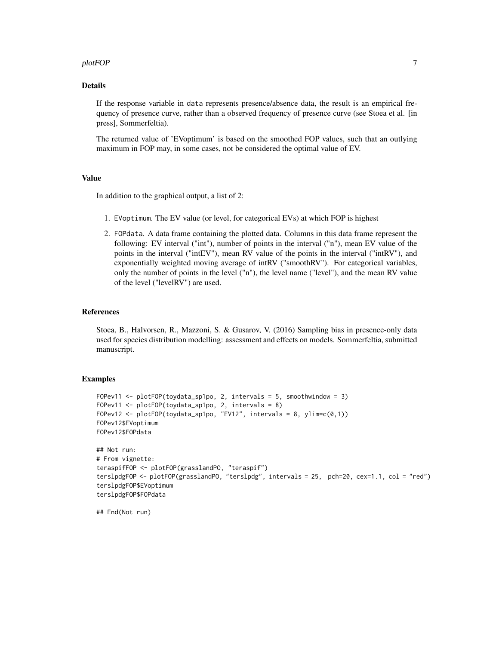#### plotFOP 7

# Details

If the response variable in data represents presence/absence data, the result is an empirical frequency of presence curve, rather than a observed frequency of presence curve (see Stoea et al. [in press], Sommerfeltia).

The returned value of 'EVoptimum' is based on the smoothed FOP values, such that an outlying maximum in FOP may, in some cases, not be considered the optimal value of EV.

#### Value

In addition to the graphical output, a list of 2:

- 1. EVoptimum. The EV value (or level, for categorical EVs) at which FOP is highest
- 2. FOPdata. A data frame containing the plotted data. Columns in this data frame represent the following: EV interval ("int"), number of points in the interval ("n"), mean EV value of the points in the interval ("intEV"), mean RV value of the points in the interval ("intRV"), and exponentially weighted moving average of intRV ("smoothRV"). For categorical variables, only the number of points in the level ("n"), the level name ("level"), and the mean RV value of the level ("levelRV") are used.

#### References

Stoea, B., Halvorsen, R., Mazzoni, S. & Gusarov, V. (2016) Sampling bias in presence-only data used for species distribution modelling: assessment and effects on models. Sommerfeltia, submitted manuscript.

#### Examples

```
FOPev11 <- plotFOP(toydata_sp1po, 2, intervals = 5, smoothwindow = 3)
FOPev11 <- plotFOP(toydata_sp1po, 2, intervals = 8)
FOPev12 \leq plotFOP(toydata_sp1po, "EV12", intervals = 8, ylim=c(0,1))
FOPev12$EVoptimum
FOPev12$FOPdata
## Not run:
# From vignette:
teraspifFOP <- plotFOP(grasslandPO, "teraspif")
terslpdgFOP <- plotFOP(grasslandPO, "terslpdg", intervals = 25, pch=20, cex=1.1, col = "red")
terslpdgFOP$EVoptimum
terslpdgFOP$FOPdata
```
## End(Not run)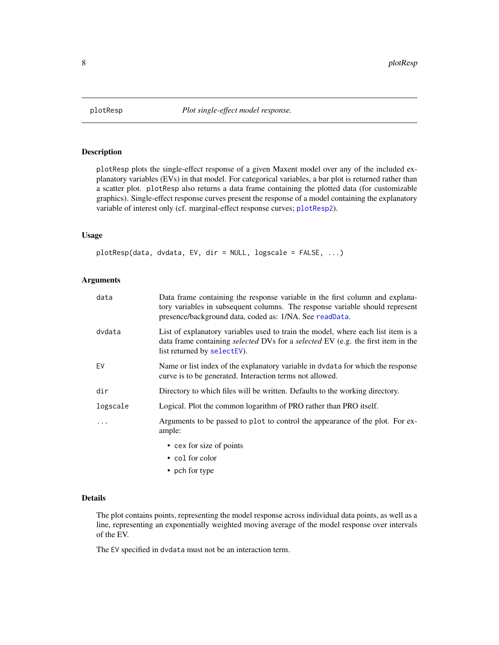<span id="page-7-1"></span><span id="page-7-0"></span>

# Description

plotResp plots the single-effect response of a given Maxent model over any of the included explanatory variables (EVs) in that model. For categorical variables, a bar plot is returned rather than a scatter plot. plotResp also returns a data frame containing the plotted data (for customizable graphics). Single-effect response curves present the response of a model containing the explanatory variable of interest only (cf. marginal-effect response curves; [plotResp2](#page-8-1)).

#### Usage

plotResp(data, dvdata, EV, dir = NULL, logscale = FALSE, ...)

# Arguments

| data     | Data frame containing the response variable in the first column and explana-<br>tory variables in subsequent columns. The response variable should represent<br>presence/background data, coded as: 1/NA. See readData. |
|----------|-------------------------------------------------------------------------------------------------------------------------------------------------------------------------------------------------------------------------|
| dvdata   | List of explanatory variables used to train the model, where each list item is a<br>data frame containing <i>selected</i> DVs for a <i>selected</i> EV (e.g. the first item in the<br>list returned by selectEV).       |
| EV       | Name or list index of the explanatory variable in dydata for which the response<br>curve is to be generated. Interaction terms not allowed.                                                                             |
| dir      | Directory to which files will be written. Defaults to the working directory.                                                                                                                                            |
| logscale | Logical. Plot the common logarithm of PRO rather than PRO itself.                                                                                                                                                       |
| $\ddots$ | Arguments to be passed to plot to control the appearance of the plot. For ex-<br>ample:                                                                                                                                 |
|          | • cex for size of points                                                                                                                                                                                                |
|          | • col for color                                                                                                                                                                                                         |
|          | • pch for type                                                                                                                                                                                                          |

# Details

The plot contains points, representing the model response across individual data points, as well as a line, representing an exponentially weighted moving average of the model response over intervals of the EV.

The EV specified in dvdata must not be an interaction term.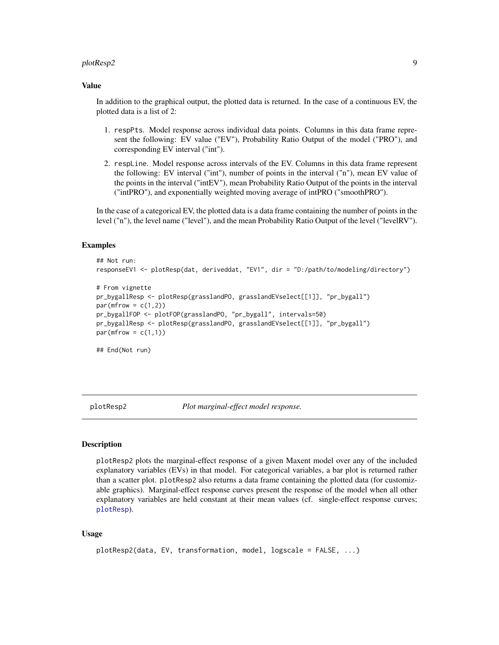#### <span id="page-8-0"></span>plotResp2 9

#### Value

In addition to the graphical output, the plotted data is returned. In the case of a continuous EV, the plotted data is a list of 2:

- 1. respPts. Model response across individual data points. Columns in this data frame represent the following: EV value ("EV"), Probability Ratio Output of the model ("PRO"), and corresponding EV interval ("int").
- 2. respLine. Model response across intervals of the EV. Columns in this data frame represent the following: EV interval ("int"), number of points in the interval ("n"), mean EV value of the points in the interval ("intEV"), mean Probability Ratio Output of the points in the interval ("intPRO"), and exponentially weighted moving average of intPRO ("smoothPRO").

In the case of a categorical EV, the plotted data is a data frame containing the number of points in the level ("n"), the level name ("level"), and the mean Probability Ratio Output of the level ("levelRV").

# Examples

```
## Not run:
responseEV1 <- plotResp(dat, deriveddat, "EV1", dir = "D:/path/to/modeling/directory")
# From vignette
pr_bygallResp <- plotResp(grasslandPO, grasslandEVselect[[1]], "pr_bygall")
par(mfrow = c(1,2))pr_bygallFOP <- plotFOP(grasslandPO, "pr_bygall", intervals=50)
pr_bygallResp <- plotResp(grasslandPO, grasslandEVselect[[1]], "pr_bygall")
par(mfrow = c(1,1))## End(Not run)
```
<span id="page-8-1"></span>plotResp2 *Plot marginal-effect model response.*

#### **Description**

plotResp2 plots the marginal-effect response of a given Maxent model over any of the included explanatory variables (EVs) in that model. For categorical variables, a bar plot is returned rather than a scatter plot. plotResp2 also returns a data frame containing the plotted data (for customizable graphics). Marginal-effect response curves present the response of the model when all other explanatory variables are held constant at their mean values (cf. single-effect response curves; [plotResp](#page-7-1)).

## Usage

```
plotResp2(data, EV, transformation, model, logscale = FALSE, ...)
```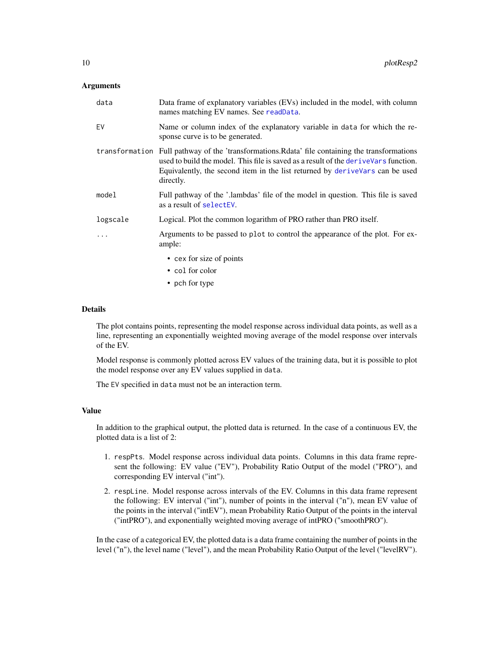#### <span id="page-9-0"></span>Arguments

| data       | Data frame of explanatory variables (EVs) included in the model, with column<br>names matching EV names. See readData.                                                                                                                                                                 |
|------------|----------------------------------------------------------------------------------------------------------------------------------------------------------------------------------------------------------------------------------------------------------------------------------------|
| EV         | Name or column index of the explanatory variable in data for which the re-<br>sponse curve is to be generated.                                                                                                                                                                         |
|            | transformation Full pathway of the 'transformations. Relata' file containing the transformations<br>used to build the model. This file is saved as a result of the derive Vars function.<br>Equivalently, the second item in the list returned by derive Vars can be used<br>directly. |
| model      | Full pathway of the '.lambdas' file of the model in question. This file is saved<br>as a result of selectEV.                                                                                                                                                                           |
| logscale   | Logical. Plot the common logarithm of PRO rather than PRO itself.                                                                                                                                                                                                                      |
| $\ddots$ . | Arguments to be passed to plot to control the appearance of the plot. For ex-<br>ample:                                                                                                                                                                                                |
|            | • cex for size of points                                                                                                                                                                                                                                                               |
|            | • col for color                                                                                                                                                                                                                                                                        |
|            | • pch for type                                                                                                                                                                                                                                                                         |

# Details

The plot contains points, representing the model response across individual data points, as well as a line, representing an exponentially weighted moving average of the model response over intervals of the EV.

Model response is commonly plotted across EV values of the training data, but it is possible to plot the model response over any EV values supplied in data.

The EV specified in data must not be an interaction term.

#### Value

In addition to the graphical output, the plotted data is returned. In the case of a continuous EV, the plotted data is a list of 2:

- 1. respPts. Model response across individual data points. Columns in this data frame represent the following: EV value ("EV"), Probability Ratio Output of the model ("PRO"), and corresponding EV interval ("int").
- 2. respLine. Model response across intervals of the EV. Columns in this data frame represent the following: EV interval ("int"), number of points in the interval ("n"), mean EV value of the points in the interval ("intEV"), mean Probability Ratio Output of the points in the interval ("intPRO"), and exponentially weighted moving average of intPRO ("smoothPRO").

In the case of a categorical EV, the plotted data is a data frame containing the number of points in the level ("n"), the level name ("level"), and the mean Probability Ratio Output of the level ("levelRV").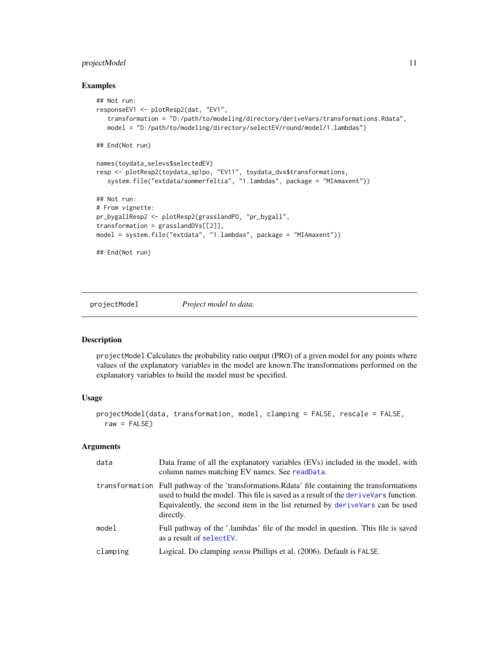# <span id="page-10-0"></span>projectModel 11

#### Examples

```
## Not run:
responseEV1 <- plotResp2(dat, "EV1",
   transformation = "D:/path/to/modeling/directory/deriveVars/transformations.Rdata",
   model = "D:/path/to/modeling/directory/selectEV/round/model/1.lambdas")
## End(Not run)
names(toydata_selevs$selectedEV)
resp <- plotResp2(toydata_sp1po, "EV11", toydata_dvs$transformations,
   system.file("extdata/sommerfeltia", "1.lambdas", package = "MIAmaxent"))
## Not run:
# From vignette:
pr_bygallResp2 <- plotResp2(grasslandPO, "pr_bygall",
transformation = grasslandDVs[[2]],
model = system.file("extdata", "1.lambdas", package = "MIAmaxent"))
## End(Not run)
```
<span id="page-10-1"></span>projectModel *Project model to data.*

# Description

projectModel Calculates the probability ratio output (PRO) of a given model for any points where values of the explanatory variables in the model are known.The transformations performed on the explanatory variables to build the model must be specified.

# Usage

```
projectModel(data, transformation, model, clamping = FALSE, rescale = FALSE,
 raw = FALSE)
```
#### Arguments

| data     | Data frame of all the explanatory variables (EVs) included in the model, with<br>column names matching EV names. See readData.                                                                                                                                                         |
|----------|----------------------------------------------------------------------------------------------------------------------------------------------------------------------------------------------------------------------------------------------------------------------------------------|
|          | transformation Full pathway of the 'transformations. Relate' file containing the transformations<br>used to build the model. This file is saved as a result of the derive Vars function.<br>Equivalently, the second item in the list returned by derive Vars can be used<br>directly. |
| model    | Full pathway of the '.lambdas' file of the model in question. This file is saved<br>as a result of select EV.                                                                                                                                                                          |
| clamping | Logical. Do clamping <i>sensu</i> Phillips et al. (2006). Default is FALSE.                                                                                                                                                                                                            |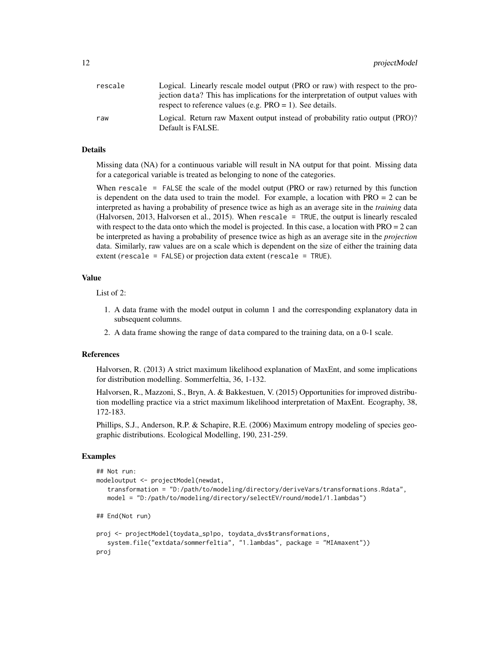| rescale | Logical. Linearly rescale model output (PRO or raw) with respect to the pro-                      |
|---------|---------------------------------------------------------------------------------------------------|
|         | jection data? This has implications for the interpretation of output values with                  |
|         | respect to reference values (e.g. $PRO = 1$ ). See details.                                       |
| raw     | Logical. Return raw Maxent output instead of probability ratio output (PRO)?<br>Default is FALSE. |

#### Details

Missing data (NA) for a continuous variable will result in NA output for that point. Missing data for a categorical variable is treated as belonging to none of the categories.

When rescale = FALSE the scale of the model output (PRO or raw) returned by this function is dependent on the data used to train the model. For example, a location with PRO = 2 can be interpreted as having a probability of presence twice as high as an average site in the *training* data (Halvorsen, 2013, Halvorsen et al., 2015). When rescale = TRUE, the output is linearly rescaled with respect to the data onto which the model is projected. In this case, a location with  $PRO = 2$  can be interpreted as having a probability of presence twice as high as an average site in the *projection* data. Similarly, raw values are on a scale which is dependent on the size of either the training data extent (rescale = FALSE) or projection data extent (rescale = TRUE).

# Value

List of 2:

- 1. A data frame with the model output in column 1 and the corresponding explanatory data in subsequent columns.
- 2. A data frame showing the range of data compared to the training data, on a 0-1 scale.

# References

Halvorsen, R. (2013) A strict maximum likelihood explanation of MaxEnt, and some implications for distribution modelling. Sommerfeltia, 36, 1-132.

Halvorsen, R., Mazzoni, S., Bryn, A. & Bakkestuen, V. (2015) Opportunities for improved distribution modelling practice via a strict maximum likelihood interpretation of MaxEnt. Ecography, 38, 172-183.

Phillips, S.J., Anderson, R.P. & Schapire, R.E. (2006) Maximum entropy modeling of species geographic distributions. Ecological Modelling, 190, 231-259.

#### Examples

```
## Not run:
modeloutput <- projectModel(newdat,
   transformation = "D:/path/to/modeling/directory/deriveVars/transformations.Rdata",
  model = "D:/path/to/modeling/directory/selectEV/round/model/1.lambdas")
## End(Not run)
proj <- projectModel(toydata_sp1po, toydata_dvs$transformations,
   system.file("extdata/sommerfeltia", "1.lambdas", package = "MIAmaxent"))
proj
```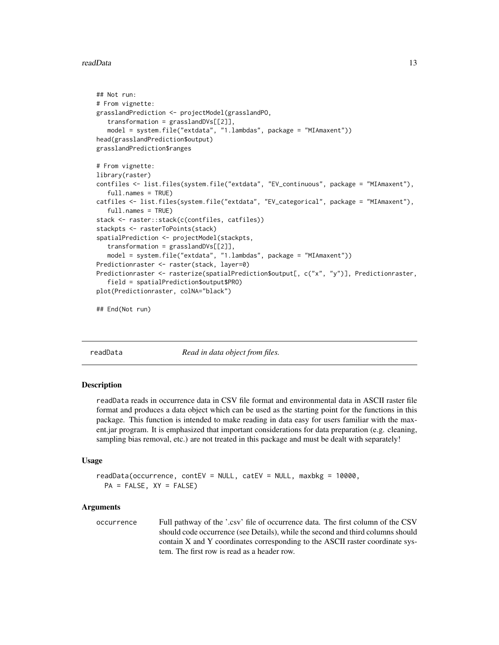#### <span id="page-12-0"></span>readData and 13

```
## Not run:
# From vignette:
grasslandPrediction <- projectModel(grasslandPO,
   transformation = grasslandDVs[[2]],
  model = system.file("extdata", "1.lambdas", package = "MIAmaxent"))
head(grasslandPrediction$output)
grasslandPrediction$ranges
# From vignette:
library(raster)
contfiles <- list.files(system.file("extdata", "EV_continuous", package = "MIAmaxent"),
   full.names = TRUE)
catfiles <- list.files(system.file("extdata", "EV_categorical", package = "MIAmaxent"),
   full.names = TRUE)
stack <- raster::stack(c(contfiles, catfiles))
stackpts <- rasterToPoints(stack)
spatialPrediction <- projectModel(stackpts,
   transformation = grasslandDVs[[2]],
  model = system.file("extdata", "1.lambdas", package = "MIAmaxent"))
Predictionraster <- raster(stack, layer=0)
Predictionraster <- rasterize(spatialPrediction$output[, c("x", "y")], Predictionraster,
   field = spatialPrediction$output$PRO)
plot(Predictionraster, colNA="black")
```
## End(Not run)

<span id="page-12-1"></span>

readData *Read in data object from files.*

#### Description

readData reads in occurrence data in CSV file format and environmental data in ASCII raster file format and produces a data object which can be used as the starting point for the functions in this package. This function is intended to make reading in data easy for users familiar with the maxent.jar program. It is emphasized that important considerations for data preparation (e.g. cleaning, sampling bias removal, etc.) are not treated in this package and must be dealt with separately!

#### Usage

```
readData(occurrence, contEV = NULL, catEV = NULL, maxbkg = 10000,
 PA = FALSE, XY = FALSE)
```
#### Arguments

occurrence Full pathway of the '.csv' file of occurrence data. The first column of the CSV should code occurrence (see Details), while the second and third columns should contain X and Y coordinates corresponding to the ASCII raster coordinate system. The first row is read as a header row.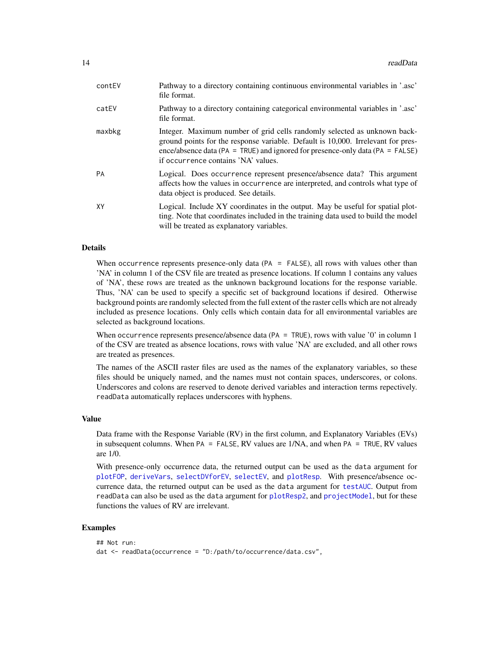<span id="page-13-0"></span>

| contEV    | Pathway to a directory containing continuous environmental variables in '.asc'<br>file format.                                                                                                                                                                                       |
|-----------|--------------------------------------------------------------------------------------------------------------------------------------------------------------------------------------------------------------------------------------------------------------------------------------|
| catEV     | Pathway to a directory containing categorical environmental variables in '.asc'<br>file format.                                                                                                                                                                                      |
| maxbkg    | Integer. Maximum number of grid cells randomly selected as unknown back-<br>ground points for the response variable. Default is 10,000. Irrelevant for pres-<br>ence/absence data (PA = TRUE) and ignored for presence-only data (PA = FALSE)<br>if occurrence contains 'NA' values. |
| <b>PA</b> | Logical. Does occurrence represent presence/absence data? This argument<br>affects how the values in occurrence are interpreted, and controls what type of<br>data object is produced. See details.                                                                                  |
| XY        | Logical. Include XY coordinates in the output. May be useful for spatial plot-<br>ting. Note that coordinates included in the training data used to build the model<br>will be treated as explanatory variables.                                                                     |

# Details

When occurrence represents presence-only data (PA = FALSE), all rows with values other than 'NA' in column 1 of the CSV file are treated as presence locations. If column 1 contains any values of 'NA', these rows are treated as the unknown background locations for the response variable. Thus, 'NA' can be used to specify a specific set of background locations if desired. Otherwise background points are randomly selected from the full extent of the raster cells which are not already included as presence locations. Only cells which contain data for all environmental variables are selected as background locations.

When occurrence represents presence/absence data ( $PA = TRUE$ ), rows with value '0' in column 1 of the CSV are treated as absence locations, rows with value 'NA' are excluded, and all other rows are treated as presences.

The names of the ASCII raster files are used as the names of the explanatory variables, so these files should be uniquely named, and the names must not contain spaces, underscores, or colons. Underscores and colons are reserved to denote derived variables and interaction terms repectively. readData automatically replaces underscores with hyphens.

#### Value

Data frame with the Response Variable (RV) in the first column, and Explanatory Variables (EVs) in subsequent columns. When PA = FALSE, RV values are 1/NA, and when PA = TRUE, RV values are 1/0.

With presence-only occurrence data, the returned output can be used as the data argument for [plotFOP](#page-5-1), [deriveVars](#page-1-1), [selectDVforEV](#page-14-1), [selectEV](#page-16-1), and [plotResp](#page-7-1). With presence/absence occurrence data, the returned output can be used as the data argument for [testAUC](#page-18-1). Output from readData can also be used as the data argument for [plotResp2](#page-8-1), and [projectModel](#page-10-1), but for these functions the values of RV are irrelevant.

#### Examples

```
## Not run:
dat <- readData(occurrence = "D:/path/to/occurrence/data.csv",
```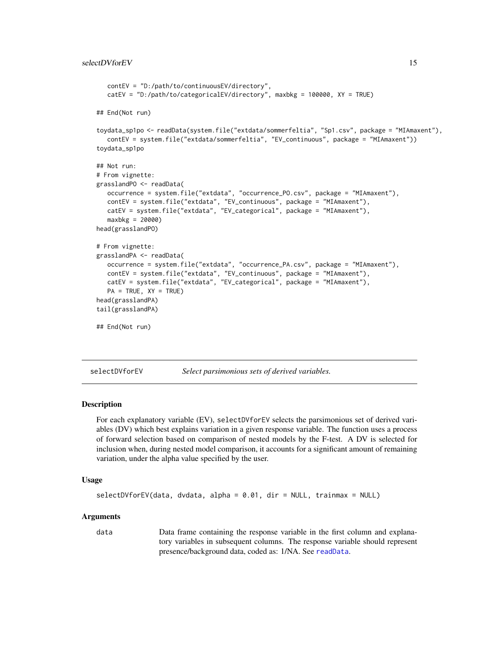```
contEV = "D:/path/to/continuousEV/directory",
   catEV = "D:/path/to/categoricalEV/directory", maxbkg = 100000, XY = TRUE)
## End(Not run)
toydata_sp1po <- readData(system.file("extdata/sommerfeltia", "Sp1.csv", package = "MIAmaxent"),
  contEV = system.file("extdata/sommerfeltia", "EV_continuous", package = "MIAmaxent"))
toydata_sp1po
## Not run:
# From vignette:
grasslandPO <- readData(
   occurrence = system.file("extdata", "occurrence_PO.csv", package = "MIAmaxent"),
   contEV = system.file("extdata", "EV_continuous", package = "MIAmaxent"),
   catEV = system.file("extdata", "EV_categorical", package = "MIAmaxent"),
  maxbkg = 20000)
head(grasslandPO)
# From vignette:
grasslandPA <- readData(
  occurrence = system.file("extdata", "occurrence_PA.csv", package = "MIAmaxent"),
  contEV = system.file("extdata", "EV_continuous", package = "MIAmaxent"),
  catEV = system.file("extdata", "EV_categorical", package = "MIAmaxent"),
  PA = TRUE, XY = TRUEhead(grasslandPA)
tail(grasslandPA)
## End(Not run)
```
<span id="page-14-1"></span>selectDVforEV *Select parsimonious sets of derived variables.*

#### Description

For each explanatory variable (EV), selectDVforEV selects the parsimonious set of derived variables (DV) which best explains variation in a given response variable. The function uses a process of forward selection based on comparison of nested models by the F-test. A DV is selected for inclusion when, during nested model comparison, it accounts for a significant amount of remaining variation, under the alpha value specified by the user.

#### Usage

```
selectDVforEV(data, dvdata, alpha = 0.01, dir = NULL, trainmax = NULL)
```
#### Arguments

data Data frame containing the response variable in the first column and explanatory variables in subsequent columns. The response variable should represent presence/background data, coded as: 1/NA. See [readData](#page-12-1).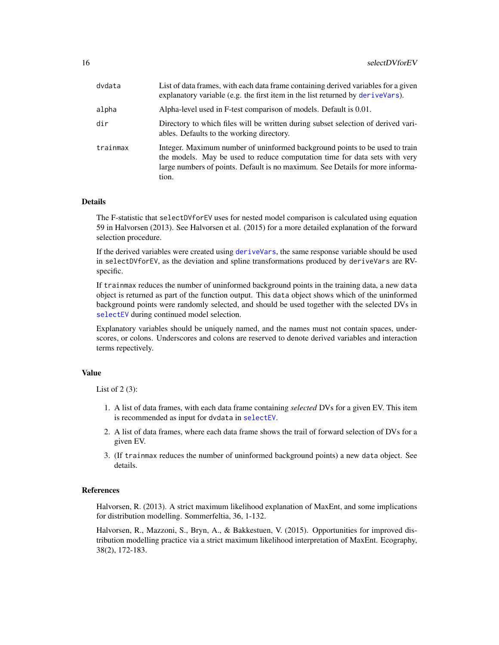<span id="page-15-0"></span>

| dvdata   | List of data frames, with each data frame containing derived variables for a given<br>explanatory variable (e.g. the first item in the list returned by deriveVars).                                                                                |
|----------|-----------------------------------------------------------------------------------------------------------------------------------------------------------------------------------------------------------------------------------------------------|
| alpha    | Alpha-level used in F-test comparison of models. Default is 0.01.                                                                                                                                                                                   |
| dir      | Directory to which files will be written during subset selection of derived vari-<br>ables. Defaults to the working directory.                                                                                                                      |
| trainmax | Integer. Maximum number of uninformed background points to be used to train<br>the models. May be used to reduce computation time for data sets with very<br>large numbers of points. Default is no maximum. See Details for more informa-<br>tion. |

#### Details

The F-statistic that selectDVforEV uses for nested model comparison is calculated using equation 59 in Halvorsen (2013). See Halvorsen et al. (2015) for a more detailed explanation of the forward selection procedure.

If the derived variables were created using [deriveVars](#page-1-1), the same response variable should be used in selectDVforEV, as the deviation and spline transformations produced by deriveVars are RVspecific.

If trainmax reduces the number of uninformed background points in the training data, a new data object is returned as part of the function output. This data object shows which of the uninformed background points were randomly selected, and should be used together with the selected DVs in [selectEV](#page-16-1) during continued model selection.

Explanatory variables should be uniquely named, and the names must not contain spaces, underscores, or colons. Underscores and colons are reserved to denote derived variables and interaction terms repectively.

# Value

List of  $2(3)$ :

- 1. A list of data frames, with each data frame containing *selected* DVs for a given EV. This item is recommended as input for dvdata in [selectEV](#page-16-1).
- 2. A list of data frames, where each data frame shows the trail of forward selection of DVs for a given EV.
- 3. (If trainmax reduces the number of uninformed background points) a new data object. See details.

#### References

Halvorsen, R. (2013). A strict maximum likelihood explanation of MaxEnt, and some implications for distribution modelling. Sommerfeltia, 36, 1-132.

Halvorsen, R., Mazzoni, S., Bryn, A., & Bakkestuen, V. (2015). Opportunities for improved distribution modelling practice via a strict maximum likelihood interpretation of MaxEnt. Ecography, 38(2), 172-183.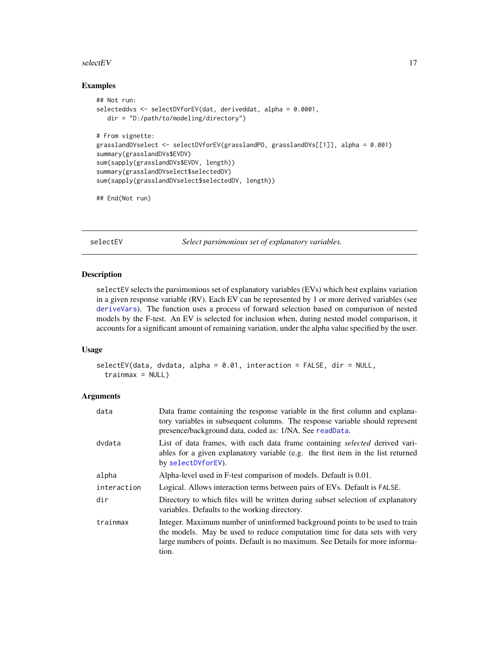#### <span id="page-16-0"></span> $selectEV$  17

#### Examples

```
## Not run:
selecteddvs <- selectDVforEV(dat, deriveddat, alpha = 0.0001,
  dir = "D:/path/to/modeling/directory")
# From vignette:
grasslandDVselect <- selectDVforEV(grasslandPO, grasslandDVs[[1]], alpha = 0.001)
summary(grasslandDVs$EVDV)
sum(sapply(grasslandDVs$EVDV, length))
summary(grasslandDVselect$selectedDV)
sum(sapply(grasslandDVselect$selectedDV, length))
```
## End(Not run)

<span id="page-16-1"></span>selectEV *Select parsimonious set of explanatory variables.*

#### Description

selectEV selects the parsimonious set of explanatory variables (EVs) which best explains variation in a given response variable (RV). Each EV can be represented by 1 or more derived variables (see [deriveVars](#page-1-1)). The function uses a process of forward selection based on comparison of nested models by the F-test. An EV is selected for inclusion when, during nested model comparison, it accounts for a significant amount of remaining variation, under the alpha value specified by the user.

# Usage

```
selectEV(data, dvdata, alpha = 0.01, interaction = FALSE, dir = NULL,
  trainmax = NULL)
```
#### Arguments

| data        | Data frame containing the response variable in the first column and explana-<br>tory variables in subsequent columns. The response variable should represent<br>presence/background data, coded as: 1/NA. See readData.                             |
|-------------|-----------------------------------------------------------------------------------------------------------------------------------------------------------------------------------------------------------------------------------------------------|
| dvdata      | List of data frames, with each data frame containing <i>selected</i> derived vari-<br>ables for a given explanatory variable (e.g. the first item in the list returned<br>by selectDVforEV).                                                        |
| alpha       | Alpha-level used in F-test comparison of models. Default is 0.01.                                                                                                                                                                                   |
| interaction | Logical. Allows interaction terms between pairs of EVs. Default is FALSE.                                                                                                                                                                           |
| dir         | Directory to which files will be written during subset selection of explanatory<br>variables. Defaults to the working directory.                                                                                                                    |
| trainmax    | Integer. Maximum number of uninformed background points to be used to train<br>the models. May be used to reduce computation time for data sets with very<br>large numbers of points. Default is no maximum. See Details for more informa-<br>tion. |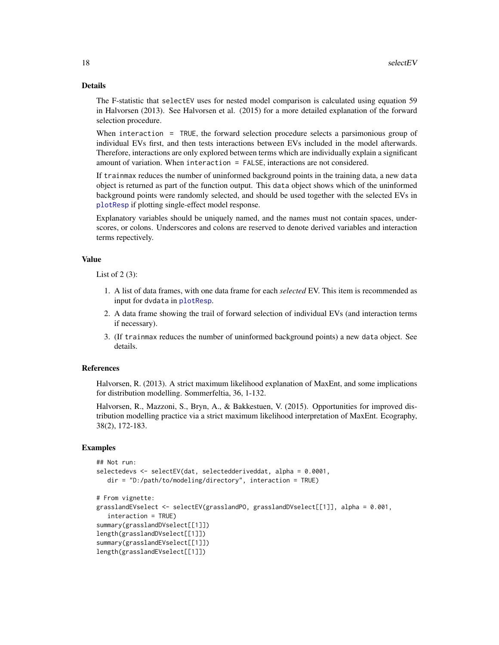#### <span id="page-17-0"></span>Details

The F-statistic that selectEV uses for nested model comparison is calculated using equation 59 in Halvorsen (2013). See Halvorsen et al. (2015) for a more detailed explanation of the forward selection procedure.

When interaction = TRUE, the forward selection procedure selects a parsimonious group of individual EVs first, and then tests interactions between EVs included in the model afterwards. Therefore, interactions are only explored between terms which are individually explain a significant amount of variation. When interaction = FALSE, interactions are not considered.

If trainmax reduces the number of uninformed background points in the training data, a new data object is returned as part of the function output. This data object shows which of the uninformed background points were randomly selected, and should be used together with the selected EVs in [plotResp](#page-7-1) if plotting single-effect model response.

Explanatory variables should be uniquely named, and the names must not contain spaces, underscores, or colons. Underscores and colons are reserved to denote derived variables and interaction terms repectively.

#### Value

List of  $2(3)$ :

- 1. A list of data frames, with one data frame for each *selected* EV. This item is recommended as input for dvdata in [plotResp](#page-7-1).
- 2. A data frame showing the trail of forward selection of individual EVs (and interaction terms if necessary).
- 3. (If trainmax reduces the number of uninformed background points) a new data object. See details.

# References

Halvorsen, R. (2013). A strict maximum likelihood explanation of MaxEnt, and some implications for distribution modelling. Sommerfeltia, 36, 1-132.

Halvorsen, R., Mazzoni, S., Bryn, A., & Bakkestuen, V. (2015). Opportunities for improved distribution modelling practice via a strict maximum likelihood interpretation of MaxEnt. Ecography, 38(2), 172-183.

# Examples

```
## Not run:
selectedevs <- selectEV(dat, selectedderiveddat, alpha = 0.0001,
  dir = "D:/path/to/modeling/directory", interaction = TRUE)
# From vignette:
grasslandEVselect <- selectEV(grasslandPO, grasslandDVselect[[1]], alpha = 0.001,
  interaction = TRUE)
summary(grasslandDVselect[[1]])
length(grasslandDVselect[[1]])
summary(grasslandEVselect[[1]])
length(grasslandEVselect[[1]])
```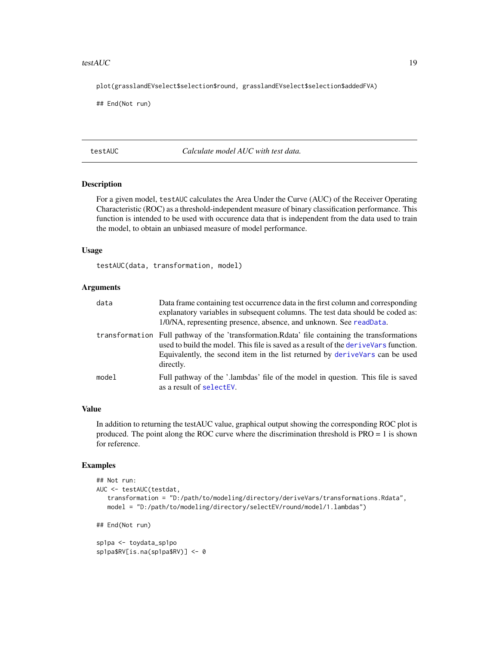#### <span id="page-18-0"></span>testAUC  $\qquad \qquad$  19

plot(grasslandEVselect\$selection\$round, grasslandEVselect\$selection\$addedFVA)

## End(Not run)

<span id="page-18-1"></span>testAUC *Calculate model AUC with test data.*

# Description

For a given model, testAUC calculates the Area Under the Curve (AUC) of the Receiver Operating Characteristic (ROC) as a threshold-independent measure of binary classification performance. This function is intended to be used with occurence data that is independent from the data used to train the model, to obtain an unbiased measure of model performance.

# Usage

testAUC(data, transformation, model)

## Arguments

| data  | Data frame containing test occurrence data in the first column and corresponding<br>explanatory variables in subsequent columns. The test data should be coded as:<br>1/0/NA, representing presence, absence, and unknown. See readData.                                              |
|-------|---------------------------------------------------------------------------------------------------------------------------------------------------------------------------------------------------------------------------------------------------------------------------------------|
|       | transformation Full pathway of the 'transformation. Redita' file containing the transformations<br>used to build the model. This file is saved as a result of the denive Vars function.<br>Equivalently, the second item in the list returned by derive vars can be used<br>directly. |
| model | Full pathway of the '.lambdas' file of the model in question. This file is saved<br>as a result of selectEV.                                                                                                                                                                          |

# Value

In addition to returning the testAUC value, graphical output showing the corresponding ROC plot is produced. The point along the ROC curve where the discrimination threshold is PRO = 1 is shown for reference.

# Examples

```
## Not run:
AUC <- testAUC(testdat,
   transformation = "D:/path/to/modeling/directory/deriveVars/transformations.Rdata",
   model = "D:/path/to/modeling/directory/selectEV/round/model/1.lambdas")
## End(Not run)
sp1pa <- toydata_sp1po
sp1pa$RV[is.na(sp1pa$RV)] <- 0
```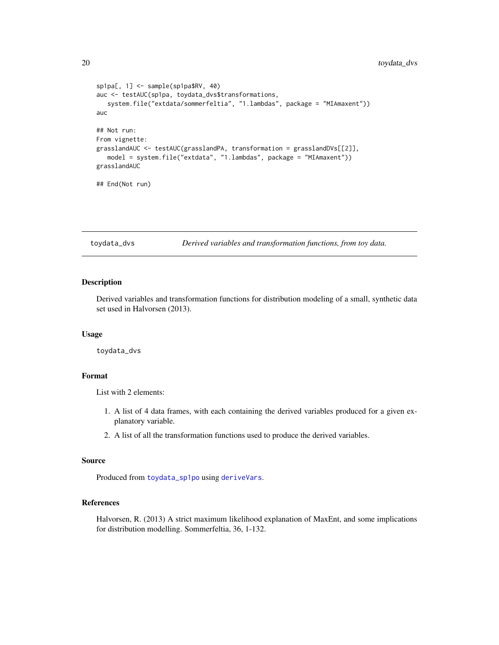```
sp1pa[, 1] <- sample(sp1pa$RV, 40)
auc <- testAUC(sp1pa, toydata_dvs$transformations,
   system.file("extdata/sommerfeltia", "1.lambdas", package = "MIAmaxent"))
auc
## Not run:
From vignette:
grasslandAUC <- testAUC(grasslandPA, transformation = grasslandDVs[[2]],
  model = system.file("extdata", "1.lambdas", package = "MIAmaxent"))
grasslandAUC
## End(Not run)
```
<span id="page-19-1"></span>toydata\_dvs *Derived variables and transformation functions, from toy data.*

# Description

Derived variables and transformation functions for distribution modeling of a small, synthetic data set used in Halvorsen (2013).

#### Usage

toydata\_dvs

# Format

List with 2 elements:

- 1. A list of 4 data frames, with each containing the derived variables produced for a given explanatory variable.
- 2. A list of all the transformation functions used to produce the derived variables.

# Source

Produced from [toydata\\_sp1po](#page-21-1) using [deriveVars](#page-1-1).

# References

Halvorsen, R. (2013) A strict maximum likelihood explanation of MaxEnt, and some implications for distribution modelling. Sommerfeltia, 36, 1-132.

<span id="page-19-0"></span>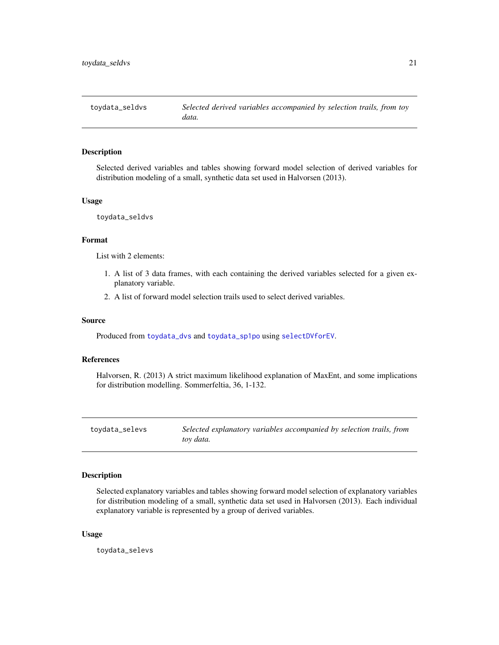<span id="page-20-1"></span><span id="page-20-0"></span>

# **Description**

Selected derived variables and tables showing forward model selection of derived variables for distribution modeling of a small, synthetic data set used in Halvorsen (2013).

# Usage

toydata\_seldvs

#### Format

List with 2 elements:

- 1. A list of 3 data frames, with each containing the derived variables selected for a given explanatory variable.
- 2. A list of forward model selection trails used to select derived variables.

### Source

Produced from [toydata\\_dvs](#page-19-1) and [toydata\\_sp1po](#page-21-1) using [selectDVforEV](#page-14-1).

#### References

Halvorsen, R. (2013) A strict maximum likelihood explanation of MaxEnt, and some implications for distribution modelling. Sommerfeltia, 36, 1-132.

toydata\_selevs *Selected explanatory variables accompanied by selection trails, from toy data.*

#### Description

Selected explanatory variables and tables showing forward model selection of explanatory variables for distribution modeling of a small, synthetic data set used in Halvorsen (2013). Each individual explanatory variable is represented by a group of derived variables.

#### Usage

toydata\_selevs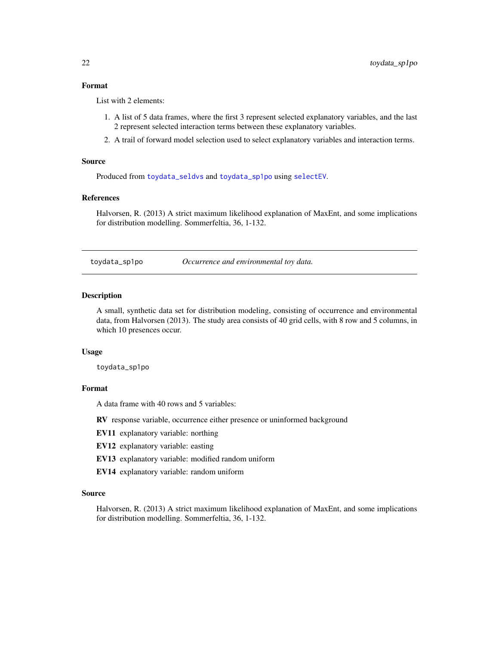# <span id="page-21-0"></span>Format

List with 2 elements:

- 1. A list of 5 data frames, where the first 3 represent selected explanatory variables, and the last 2 represent selected interaction terms between these explanatory variables.
- 2. A trail of forward model selection used to select explanatory variables and interaction terms.

#### Source

Produced from [toydata\\_seldvs](#page-20-1) and [toydata\\_sp1po](#page-21-1) using [selectEV](#page-16-1).

# References

Halvorsen, R. (2013) A strict maximum likelihood explanation of MaxEnt, and some implications for distribution modelling. Sommerfeltia, 36, 1-132.

<span id="page-21-1"></span>toydata\_sp1po *Occurrence and environmental toy data.*

### **Description**

A small, synthetic data set for distribution modeling, consisting of occurrence and environmental data, from Halvorsen (2013). The study area consists of 40 grid cells, with 8 row and 5 columns, in which 10 presences occur.

#### Usage

toydata\_sp1po

# Format

A data frame with 40 rows and 5 variables:

RV response variable, occurrence either presence or uninformed background

EV11 explanatory variable: northing

EV12 explanatory variable: easting

- EV13 explanatory variable: modified random uniform
- EV14 explanatory variable: random uniform

#### Source

Halvorsen, R. (2013) A strict maximum likelihood explanation of MaxEnt, and some implications for distribution modelling. Sommerfeltia, 36, 1-132.